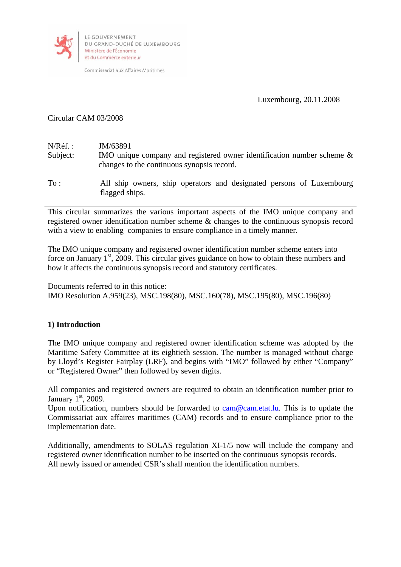

Commissariat aux Affaires Maritimes

Luxembourg, 20.11.2008

# Circular CAM 03/2008

- N/Réf. **IM/63891** Subject: IMO unique company and registered owner identification number scheme & changes to the continuous synopsis record.
- To : All ship owners, ship operators and designated persons of Luxembourg flagged ships.

This circular summarizes the various important aspects of the IMO unique company and registered owner identification number scheme & changes to the continuous synopsis record with a view to enabling companies to ensure compliance in a timely manner.

The IMO unique company and registered owner identification number scheme enters into force on January  $1<sup>st</sup>$ , 2009. This circular gives guidance on how to obtain these numbers and how it affects the continuous synopsis record and statutory certificates.

Documents referred to in this notice: IMO Resolution A.959(23), MSC.198(80), MSC.160(78), MSC.195(80), MSC.196(80)

# **1) Introduction**

The IMO unique company and registered owner identification scheme was adopted by the Maritime Safety Committee at its eightieth session. The number is managed without charge by Lloyd's Register Fairplay (LRF), and begins with "IMO" followed by either "Company" or "Registered Owner" then followed by seven digits.

All companies and registered owners are required to obtain an identification number prior to January  $1<sup>st</sup>$ , 2009.

Upon notification, numbers should be forwarded to cam@cam.etat.lu. This is to update the Commissariat aux affaires maritimes (CAM) records and to ensure compliance prior to the implementation date.

Additionally, amendments to SOLAS regulation XI-1/5 now will include the company and registered owner identification number to be inserted on the continuous synopsis records. All newly issued or amended CSR's shall mention the identification numbers.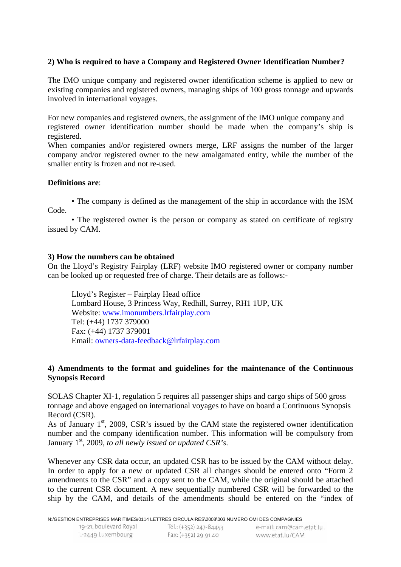# **2) Who is required to have a Company and Registered Owner Identification Number?**

The IMO unique company and registered owner identification scheme is applied to new or existing companies and registered owners, managing ships of 100 gross tonnage and upwards involved in international voyages.

For new companies and registered owners, the assignment of the IMO unique company and registered owner identification number should be made when the company's ship is registered.

When companies and/or registered owners merge, LRF assigns the number of the larger company and/or registered owner to the new amalgamated entity, while the number of the smaller entity is frozen and not re-used.

### **Definitions are**:

• The company is defined as the management of the ship in accordance with the ISM Code.

• The registered owner is the person or company as stated on certificate of registry issued by CAM.

#### **3) How the numbers can be obtained**

On the Lloyd's Registry Fairplay (LRF) website IMO registered owner or company number can be looked up or requested free of charge. Their details are as follows:-

Lloyd's Register – Fairplay Head office Lombard House, 3 Princess Way, Redhill, Surrey, RH1 1UP, UK Website: www.imonumbers.lrfairplay.com Tel: (+44) 1737 379000 Fax: (+44) 1737 379001 Email: owners-data-feedback@lrfairplay.com

### **4) Amendments to the format and guidelines for the maintenance of the Continuous Synopsis Record**

SOLAS Chapter XI-1, regulation 5 requires all passenger ships and cargo ships of 500 gross tonnage and above engaged on international voyages to have on board a Continuous Synopsis Record (CSR).

As of January  $1<sup>st</sup>$ , 2009, CSR's issued by the CAM state the registered owner identification number and the company identification number. This information will be compulsory from January 1<sup>st</sup>, 2009, *to all newly issued or updated CSR's*.

Whenever any CSR data occur, an updated CSR has to be issued by the CAM without delay. In order to apply for a new or updated CSR all changes should be entered onto "Form 2 amendments to the CSR" and a copy sent to the CAM, while the original should be attached to the current CSR document. A new sequentially numbered CSR will be forwarded to the ship by the CAM, and details of the amendments should be entered on the "index of